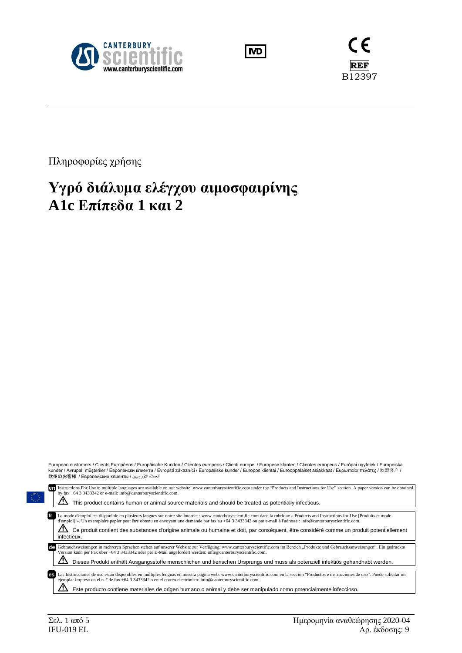





Πληροφορίες χρήσης

# **Υγρό διάλυμα ελέγχου αιμοσφαιρίνης A1c Επίπεδα 1 και 2**

| kunder / Avrupalı müşteriler / Европейски клиенти / Evropští zákazníci / Europæiske kunder / Europos klientai / Eurooppalaiset asiakkaat / Ευρωπαίοι πελάτες / 欧盟客户 /<br>العملاء الأوروبيين / 欧州のお客様 / Европейские клиенты                                                                                                                                                                                                                                                                                      |  |
|-----------------------------------------------------------------------------------------------------------------------------------------------------------------------------------------------------------------------------------------------------------------------------------------------------------------------------------------------------------------------------------------------------------------------------------------------------------------------------------------------------------------|--|
| Instructions For Use in multiple languages are available on our website: www.canterburyscientific.com under the "Products and Instructions for Use" section. A paper version can be obtained<br>en<br>by fax +64 3 3433342 or e-mail: info@canterburyscientific.com.                                                                                                                                                                                                                                            |  |
| This product contains human or animal source materials and should be treated as potentially infectious.                                                                                                                                                                                                                                                                                                                                                                                                         |  |
| Le mode d'emploi est disponible en plusieurs langues sur notre site internet : www.canterburyscientific.com dans la rubrique « Products and Instructions for Use [Produits et mode<br>d'emploi] ». Un exemplaire papier peut être obtenu en envoyant une demande par fax au +64 3 3433342 ou par e-mail à l'adresse : info@canterburyscientific.com.<br>Ce produit contient des substances d'origine animale ou humaine et doit, par conséquent, être considéré comme un produit potentiellement<br>infectieux. |  |
| Gebrauchsweisungen in mehreren Sprachen stehen auf unserer Website zur Verfügung: www.canterburyscientific.com im Bereich "Produkte und Gebrauchsanweisungen". Ein gedruckte<br>de<br>Version kann per Fax über +64 3 3433342 oder per E-Mail angefordert werden: info@canterburyscientific.com.<br>Dieses Produkt enthält Ausgangsstoffe menschlichen und tierischen Ursprungs und muss als potenziell infektiös gehandhabt werden.                                                                            |  |
|                                                                                                                                                                                                                                                                                                                                                                                                                                                                                                                 |  |
| Las Instrucciones de uso están disponibles en múltiples lenguas en nuestra página web: www.canterburyscientific.com en la sección "Productos e instrucciones de uso". Puede solicitar un<br><b>es</b><br>ejemplar impreso en el n. º de fax +64 3 3433342 o en el correo electrónico: info@canterburyscientific.com.                                                                                                                                                                                            |  |

European customers / Clients Européens / Europäische Kunden / Clientes europeos / Clienti europei / Europese klanten / Clientes europeus / Európai ügyfelek / Europeiska

Este producto contiene materiales de origen humano o animal y debe ser manipulado como potencialmente infeccioso.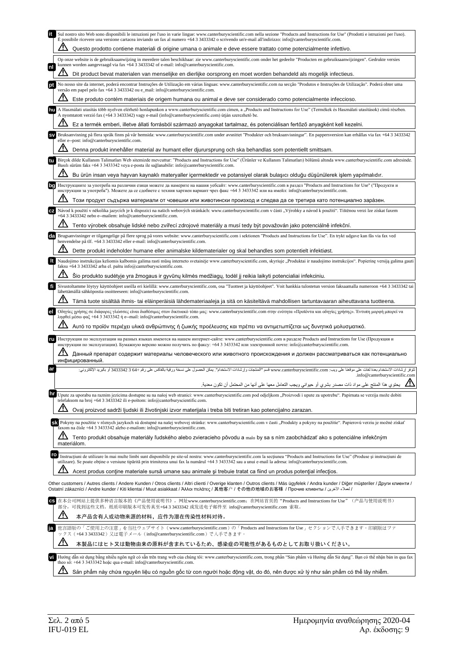|    | Sul nostro sito Web sono disponibili le istruzioni per l'uso in varie lingue: www.canterburyscientific.com nella sezione "Products and Instructions for Use" (Prodotti e istruzioni per l'uso).<br>È possibile ricevere una versione cartacea inviando un fax al numero +64 3 3433342 o scrivendo un'e-mail all'indirizzo: info@canterburyscientific.com.                                                            |
|----|----------------------------------------------------------------------------------------------------------------------------------------------------------------------------------------------------------------------------------------------------------------------------------------------------------------------------------------------------------------------------------------------------------------------|
|    | Questo prodotto contiene materiali di origine umana o animale e deve essere trattato come potenzialmente infettivo.                                                                                                                                                                                                                                                                                                  |
| nl | Op onze website is de gebruiksaanwijzing in meerdere talen beschikbaar: zie www.canterburyscientific.com onder het gedeelte "Producten en gebruiksaanwijzingen". Gedrukte versies<br>kunnen worden aangevraagd via fax +64 3 3433342 of e-mail: info@canterburyscientific.com.                                                                                                                                       |
|    | Dit product bevat materialen van menselijke en dierlijke oorsprong en moet worden behandeld als mogelijk infectieus.                                                                                                                                                                                                                                                                                                 |
|    | No nosso site da internet, poderá encontrar Instruções de Utilização em várias línguas: www.canterburyscientific.com na secção "Produtos e Instruções de Utilização". Poderá obter uma<br>versão em papel pelo fax +64 3 3433342 ou e_mail: info@canterburyscientific.com.                                                                                                                                           |
|    | Este produto contém materiais de origem humana ou animal e deve ser considerado como potencialmente infeccioso.                                                                                                                                                                                                                                                                                                      |
|    | A Használati utasítás több nyelven elérhető honlapunkon a www.canterburyscientific.com címen, a "Products and Instructions for Use" (Termékek és Használati utasítások) című részben.<br>A nyomtatott verzió fax (+64 3 3433342) vagy e-mail (info@canterburyscientific.com) útján szerezhető be.                                                                                                                    |
|    | Ez a termék emberi, illetve állati forrásból származó anyagokat tartalmaz, és potenciálisan fertőző anyagként kell kezelni.                                                                                                                                                                                                                                                                                          |
|    | Bruksanvisning på flera språk finns på vår hemsida: www.canterburyscientific.com under avsnittet "Produkter och bruksanvisningar". En pappersversion kan erhållas via fax +64 3 3433342<br>eller e--post: info@canterburyscientific.com.                                                                                                                                                                             |
|    | Denna produkt innehåller material av humant eller djurursprung och ska behandlas som potentiellt smittsam.                                                                                                                                                                                                                                                                                                           |
|    | Birçok dilde Kullanım Talimatları Web sitemizde mevcuttur: "Products and Instructions for Use" (Ürünler ve Kullanım Talimatları) bölümü altında www.canterburyscientific.com adresinde.<br>Basılı sürüm faks +64 3 3433342 veya e-posta ile sağlanabilir: info@canterburyscientific.com.                                                                                                                             |
|    | Bu ürün insan veya hayvan kaynaklı materyaller içermektedir ve potansiyel olarak bulaşıcı olduğu düşünülerek işlem yapılmalıdır.                                                                                                                                                                                                                                                                                     |
| bg | Инструкциите за употреба на различни езици можете да намерите на нашия уебсайт: www.canterburyscientific.com в раздел "Products and Instructions for Use" ("Продукти и<br>инструкции за употреба"). Можете да се сдобиете с техния хартиен вариант чрез факс +64 3 3433342 или на имейл: info@canterburyscientific.com.                                                                                              |
|    | Този продукт съдържа материали от човешки или животински произход и следва да се третира като потенциално зара̀зен.                                                                                                                                                                                                                                                                                                  |
|    | Návod k použití v několika jazycích je k dispozici na našich webových stránkách: www.canterburyscientific.com v části "Výrobky a návod k použití". Tištěnou verzi lze získat faxem<br>+64 3 3433342 nebo e--mailem: info@canterburyscientific.com.                                                                                                                                                                   |
|    | Tento výrobek obsahuje lidské nebo zvířecí zdrojové materiály a musí tedy být považován jako potenciálně infekční.                                                                                                                                                                                                                                                                                                   |
|    | Brugsanvisninger er tilgængelige på flere sprog på vores website: www.canterburyscientific.com i sektionen "Products and Instructions for Use". En trykt udgave kan fås via fax ved<br>henvendelse på tlf. +64 3 3433342 eller e-mail: info@canterburyscientific.com.                                                                                                                                                |
|    | Dette produkt indeholder humane eller animalske kildematerialer og skal behandles som potentielt infektiøst.                                                                                                                                                                                                                                                                                                         |
| It | Naudojimo instrukcijas keliomis kalbomis galima rasti mūsų interneto svetainėje www.canterburyscientific.com, skyriuje "Produktai ir naudojimo instrukcijos". Popierinę versiją galima gauti<br>faksu +64 3 3433342 arba el. paštu info@canterburyscientific.com.                                                                                                                                                    |
|    | Šio produkto sudėtyje yra žmogaus ir gyvūnų kilmės medžiagų, todėl jį reikia laikyti potencialiai infekciniu.                                                                                                                                                                                                                                                                                                        |
| fi | Sivustoltamme löytyy käyttöohjeet useilla eri kielillä: www.canterburyscientific.com, osa "Tuotteet ja käyttöohjeet". Voit hankkia tulostetun version faksaamalla numeroon +64 3 3433342 tai<br>lähettämällä sähköpostia osoitteeseen: info@canterburyscientific.com.                                                                                                                                                |
|    | Tämä tuote sisältää ihmis- tai eläinperäisiä lähdemateriaaleja ja sitä on käsiteltävä mahdollisen tartuntavaaran aiheuttavana tuotteena.                                                                                                                                                                                                                                                                             |
| el | Οδηγίες χρήσης σε διάφορες γλώσσες είναι διαθέσιμες στον δικτυακό τόπο μας: www.canterburyscientific.com στην ενότητα «Προϊόντα και οδηγίες χρήσης». Έντυπη μορφή μπορεί να<br>ληφθεί μέσω φαξ +64 3 3433342 ή e--mail: info@canterburyscientific.com.                                                                                                                                                               |
|    | Αυτό το προϊόν περιέχει υλικά ανθρώπινης ή ζωικής προέλευσης και πρέπει να αντιμετωπίζεται ως δυνητικά μολυσματικό.                                                                                                                                                                                                                                                                                                  |
| ru | Инструкции по эксплуатации на разных языках имеются на нашем интернет-сайте: www.canterburyscientific.com в разделе Products and Instructions for Use (Продукция и<br>инструкции по эксплуатации). Бумажную версию можно получить по факсу: +64 3 3433342 или электронной почте: info@canterburyscientific.com.                                                                                                      |
|    | Данный препарат содержит материалы человеческого или животного происхождения и должен рассматриваться как потенциально<br>инфицированный.                                                                                                                                                                                                                                                                            |
| ar | تقوفر إرشادات الاستخدام بعدة لغلت على موقعنا على ويب: www.canterburyscientific.com قسم "المنتجات وإرشادات الاستخدام". يمكن الحصول على نسخة ورقية بالفاكس على رقم +64 3433342 أو بالبريد الإلكتروني:<br>.info@canterburyscientific.com                                                                                                                                                                                |
|    | يحتوي هذا المنتج على مواد ذات مصدر بشري أو حيواني ويجب التعامل معها على أنها من المحتمل أن تكون معدية.                                                                                                                                                                                                                                                                                                               |
| hr | Upute za uporabu na raznim jezicima dostupne su na našoj web stranici: www.canterburyscientific.com pod odjeljkom "Proizvodi i upute za upotrebu". Papirnata se verzija može dobiti                                                                                                                                                                                                                                  |
|    | telefaksom na broj +64 3 3433342 ili e-poštom: info@canterburyscientific.com.<br>Ovaj proizvod sadrži ljudski ili životinjski izvor materijala i treba biti tretiran kao potencijalno zarazan.                                                                                                                                                                                                                       |
|    | SA Pokyny na použitie v rôznych jazykoch sú dostupné na našej webovej stránke: www.canterburyscientific.com v časti "Produkty a pokyny na použitie". Papierovú verziu je možné získať                                                                                                                                                                                                                                |
|    | faxom na čísle +64 3 3433342 alebo e-mailom: info@canterburyscientific.com.                                                                                                                                                                                                                                                                                                                                          |
|    | Tento produkt obsahuje materiály ľudského alebo zvieracieho pôvodu a malo by sa s ním zaobchádzať ako s potenciálne infekčným<br>materiálom.                                                                                                                                                                                                                                                                         |
| ro | Instructiuni de utilizare în mai multe limbi sunt disponibile pe site-ul nostru: www.canterburyscientific.com la sectiunea "Products and Instructions for Use" (Produse și instructiuni de<br>utilizare). Se poate obține o versiune tipărită prin trimiterea unui fax la numărul +64 3 3433342 sau a unui e-mail la adresa: info@canterburyscientific.com.                                                          |
|    | Acest produs contine materiale sursă umane sau animale și trebuie tratat ca fiind un produs potențial infecțios.                                                                                                                                                                                                                                                                                                     |
|    | Other customers / Autres clients / Andere Kunden / Otros clients / Altri clienti / Overige klanten / Outros clients / Más ügyfelek / Andra kunder / Diğer müşteriler / Други клиенти /<br>Ostatní zákazníci / Аndre kunder / Kiti klientai / Muut asiakkaat / Άλλοι πελάτες / 其他客户 / その他の地域のお客様 / Прочие клиенты / كاملاء الأخرين / Ostatní zákazníci / Andre kunder / Kiti klientai / Миut asiakkaat / Άλλοι πελάτε |
|    | 在本公司网站上提供多种语言版本的《产品使用说明书》, 网址www.canterburyscientific.com; 在网站首页的"Products and Instructions for Use"(产品与使用说明书)<br>部分, 可找到这些文档。纸质印刷版本可发传真至+64 3 3433342 或发送电子邮件至 info@canterburyscientific.com 索取。                                                                                                                                                                                                                    |
|    | <u>/ \</u><br>本产品含有人或动物来源的材料,应作为潜在传染性材料对待。                                                                                                                                                                                                                                                                                                                                                                           |
|    | 他言語版の「ご使用上の注意」を当社ウェブサイト(www.canterburyscientific.com)の「Products and Instructions for Use」セクションで入手できます。印刷版はファ                                                                                                                                                                                                                                                                                                         |
|    | ックス(+64 3 3433342)又は電子メール(info@canterburyscientific.com)で入手できます。                                                                                                                                                                                                                                                                                                                                                     |
|    | 本製品にはヒト又は動物由来の原料が含まれているため、感染症の可能性があるものとしてお取り扱いください。                                                                                                                                                                                                                                                                                                                                                                  |
|    | V Hướng dẫn sử dụng bằng nhiều ngôn ngữ có sẵn trên trang web của chúng tôi: www.canterburyscientific.com, trong phần "Sản phầm và Hướng dẫn Sử dụng". Bạn có thề nhận bản in qua fax                                                                                                                                                                                                                                |
|    | theo số: +64 3 3433342 hoặc qua e-mail: info@canterburyscientific.com.<br>Sản phẩm này chứa nguyên liệu có nguồn gốc từ con người hoặc động vật, do đó, nên được xử lý như sản phẩm có thể lây nhiễm.                                                                                                                                                                                                                |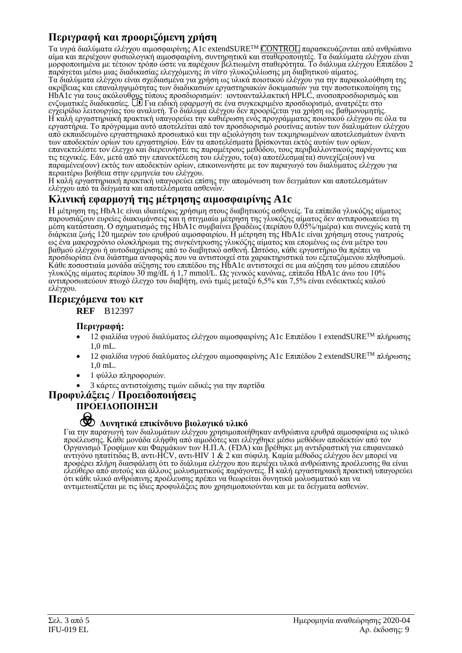## **Περιγραφή και προοριζόμενη χρήση**

Τα υγρά διαλύματα ελέγχου αιμοσφαιρίνης A1c extendSURETM CONTROL παρασκευάζονται από ανθρώπινο αίμα και περιέχουν φυσιολογική αιμοσφαιρίνη, συντηρητικά και σταθεροποιητές. Τα διαλύματα ελέγχου είναι μορφοποιημένα με τέτοιον τρόπο ώστε να παρέχουν βελτιωμένη σταθερότητα. Το διάλυμα ελέγχου Επιπέδου 2 παράγεται μέσω μιας διαδικασίας ελεγχόμενης *in vitro* γλυκοζυλίωσης μη διαβητικού αίματος. Τα διαλύματα ελέγχου είναι σχεδιασμένα για χρήση ως υλικά ποιοτικού ελέγχου για την παρακολούθηση της ακρίβειας και επαναληψιμότητας των διαδικασιών εργαστηριακών δοκιμασιών για την ποσοτικοποίηση της HbA1c για τους ακόλουθ<u>ους</u> τύπους προσδιορισμών: ιοντοανταλλακτική HPLC, ανοσοπροσδιορισμός και ενζυματικές διαδικασίες. UJ Για ειδική εφαρμογή σε ένα συγκεκριμένο προσδιορισμό, ανατρέξτε στο εγχειρίδιο λειτουργίας του αναλυτή. Το διάλυμα ελέγχου δεν προορίζεται για χρήση ως βαθμονομητής. Η καλή εργαστηριακή πρακτική υπαγορεύει την καθιέρωση ενός προγράμματος ποιοτικού ελέγχου σε όλα τα εργαστήρια. Το πρόγραμμα αυτό αποτελείται από τον προσδιορισμό ρουτίνας αυτών των διαλυμάτων ελέγχου από εκπαιδευμένο εργαστηριακό προσωπικό και την αξιολόγηση των τεκμηριωμένων αποτελεσμάτων έναντι των αποδεκτών ορίων του εργαστηρίου. Εάν τα αποτελέσματα βρίσκονται εκτός αυτών των ορίων, επανεκτελέστε τον έλεγχο και διερευνήστε τις παραμέτρους μεθόδου, τους περιβαλλοντικούς παράγοντες και τις τεχνικές. Εάν, μετά από την επανεκτέλεση του ελέγχου, το(α) αποτέλεσμα(τα) συνεχίζει(ουν) να παραμένει(ουν) εκτός των αποδεκτών ορίων, επικοινωνήστε με τον παραγωγό του διαλύματος ελέγχου για περαιτέρω βοήθεια στην ερμηνεία του ελέγχου.

Η καλή εργαστηριακή πρακτική υπαγορεύει επίσης την απομόνωση των δειγμάτων και αποτελεσμάτων ελέγχου από τα δείγματα και αποτελέσματα ασθενών.

## **Κλινική εφαρμογή της μέτρησης αιμοσφαιρίνης A1c**

Η μέτρηση της HbA1c είναι ιδιαιτέρως χρήσιμη στους διαβητικούς ασθενείς. Τα επίπεδα γλυκόζης αίματος παρουσιάζουν ευρείες διακυμάνσεις και η στιγμιαία μέτρηση της γλυκόζης αίματος δεν αντιπροσωπεύει τη μέση κατάσταση. Ο σχηματισμός της HbA1c συμβαίνει βραδέως (περίπου 0,05%/ημέρα) και συνεχώς κατά τη διάρκεια ζωής 120 ημερών του ερυθρού αιμοσφαιρίου. Η μέτρηση της HbA1c είναι χρήσιμη στους γιατρούς ως ένα μακροχρόνιο ολοκλήρωμα της συγκέντρωσης γλυκόζης αίματος και επομένως ως ένα μέτρο του βαθμού ελέγχου ή αυτοδιαχείρισης από το διαβητικό ασθενή. Ωστόσο, κάθε εργαστήριο θα πρέπει να προσδιορίσει ένα διάστημα αναφοράς που να αντιστοιχεί στα χαρακτηριστικά του εξεταζόμενου πληθυσμού. Κάθε ποσοστιαία μονάδα αύξησης του επιπέδου της HbA1c αντιστοιχεί σε μια αύξηση του μέσου επιπέδου γλυκόζης αίματος περίπου 30 mg/dL ή 1,7 mmol/L. Ως γενικός κανόνας, επίπεδα HbA1c άνω του 10% αντιπροσωπεύουν πτωχό έλεγχο του διαβήτη, ενώ τιμές μεταξύ 6,5% και 7,5% είναι ενδεικτικές καλού ελέγχου.

#### **Περιεχόμενα του κιτ**

**REF** B12397

#### **Περιγραφή:**

- 12 φιαλίδια υγρού διαλύματος ελέγχου αιμοσφαιρίνης A1c Επιπέδου 1 extendSURETM πλήρωσης 1,0 mL.
- 12 φιαλίδια υγρού διαλύματος ελέγχου αιμοσφαιρίνης A1c Επιπέδου 2 extendSURETM πλήρωσης 1,0 mL.
- 1 φύλλο πληροφοριών.
- 3 κάρτες αντιστοίχισης τιμών ειδικές για την παρτίδα

### **Προφυλάξεις** / **Προειδοποιήσεις**

#### **ΠΡΟΕΙΔΟΠΟΙΗΣΗ**

# F **Δυνητικά επικίνδυνο βιολογικό υλικό**

Για την παραγωγή των διαλυμάτων ελέγχου χρησιμοποιήθηκαν ανθρώπινα ερυθρά αιμοσφαίρια ως υλικό προέλευσης. Κάθε μονάδα ελήφθη από αιμοδότες και ελέγχθηκε μέσω μεθόδων αποδεκτών από τον Οργανισμό Τροφίμων και Φαρμάκων των Η.Π.Α. (FDA) και βρέθηκε μη αντιδραστική για επιφανειακό αντιγόνο ηπατίτιδας B, αντι-HCV, αντι-HIV 1 & 2 και σύφιλη. Καμία μέθοδος ελέγχου δεν μπορεί να προφέρει πλήρη διασφάλιση ότι το διάλυμα ελέγχου που περιέχει υλικά ανθρώπινης προέλευσης θα είναι ελεύθερο από αυτούς και άλλους μολυσματικούς παράγοντες. Η καλή εργαστηριακή πρακτική υπαγορεύει ότι κάθε υλικό ανθρώπινης προέλευσης πρέπει να θεωρείται δυνητικά μολυσματικό και να αντιμετωπίζεται με τις ίδιες προφυλάξεις που χρησιμοποιούνται και με τα δείγματα ασθενών.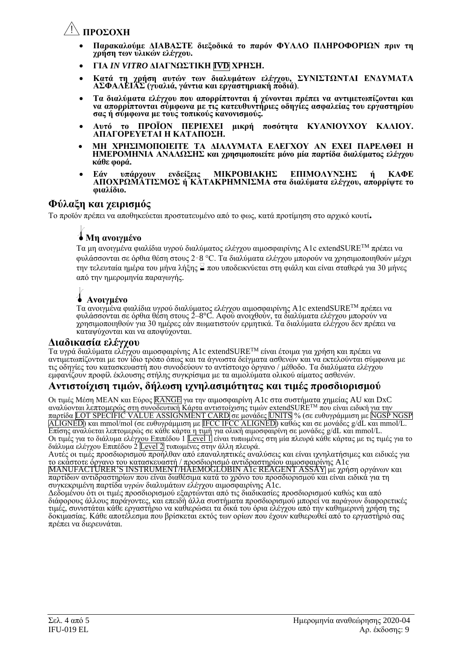# Y**ΠΡΟΣΟΧΗ**

- **Παρακαλούμε ΔΙΑΒΑΣΤΕ διεξοδικά το παρόν ΦΥΛΛΟ ΠΛΗΡΟΦΟΡΙΩΝ πριν τη χρήση των υλικών ελέγχου.**
- **ΓΙΑ** *IN VITRO* **ΔΙΑΓΝΩΣΤΙΚΗ IVD ΧΡΗΣΗ.**
- **Κατά τη χρήση αυτών των διαλυμάτων ελέγχου, ΣΥΝΙΣΤΩΝΤΑΙ ΕΝΔΥΜΑΤΑ ΑΣΦΑΛΕΙΑΣ (γυαλιά, γάντια και εργαστηριακή ποδιά)***.*
- **Τα διαλύματα ελέγχου που απορρίπτονται ή χύνονται πρέπει να αντιμετωπίζονται και να απορρίπτονται σύμφωνα με τις κατευθυντήριες οδηγίες ασφαλείας του εργαστηρίου σας ή σύμφωνα με τους τοπικούς κανονισμούς.**
- **Αυτό το ΠΡΟΪΟΝ ΠΕΡΙΕΧΕΙ μικρή ποσότητα ΚΥΑΝΙΟΥΧΟΥ ΚΑΛΙΟΥ. ΑΠΑΓΟΡΕΥΕΤΑΙ Η ΚΑΤΑΠΟΣΗ.**
- **ΜΗ ΧΡΗΣΙΜΟΠΟΙΕΙΤΕ ΤΑ ΔΙΑΛΥΜΑΤΑ ΕΛΕΓΧΟΥ ΑΝ ΕΧΕΙ ΠΑΡΕΛΘΕΙ Η ΗΜΕΡΟΜΗΝΙΑ ΑΝΑΛΩΣΗΣ και χρησιμοποιείτε μόνο μία παρτίδα διαλύματος ελέγχου κάθε φορά.**
- **Εάν υπάρχουν ενδείξεις ΜΙΚΡΟΒΙΑΚΗΣ ΕΠΙΜΟΛΥΝΣΗΣ ή ΚΑΦΕ ΑΠΟΧΡΩΜΑΤΙΣΜΟΣ ή ΚΑΤΑΚΡΗΜΝΙΣΜΑ στα διαλύματα ελέγχου, απορρίψτε το φιαλίδιο.**

### **Φύλαξη και χειρισμός**

Το προϊόν πρέπει να αποθηκεύεται προστατευμένο από το φως, κατά προτίμηση στο αρχικό κουτί**.**

# l**Μη ανοιγμένο**

Τα μη ανοιγμένα φιαλίδια υγρού διαλύματος ελέγχου αιμοσφαιρίνης A1c extendSURE<sup>TM</sup> πρέπει να φυλάσσονται σε όρθια θέση στους 2‑8 °C. Τα διαλύματα ελέγχου μπορούν να χρησιμοποιηθούν μέχρι την τελευταία ημέρα του μήνα λήξης  $\leq \pi$ ου υποδεικνύεται στη φιάλη και είναι σταθερά για 30 μήνες από την ημερομηνία παραγωγής.

# l **Ανοιγμένο**

Τα ανοιγμένα φιαλίδια υγρού διαλύματος ελέγχου αιμοσφαιρίνης A1c extendSURETM πρέπει να φυλάσσονται σε όρθια θέση στους 2–8°C. Αφού ανοιχθούν, τα διαλύματα ελέγχου μπορούν να χρησιμοποιηθούν για 30 ημέρες εάν πωματιστούν ερμητικά. Τα διαλύματα ελέγχου δεν πρέπει να καταψύχονται και να αποψύχονται.

### **Διαδικασία ελέγχου**

Τα υγρά διαλύματα ελέγχου αιμοσφαιρίνης A1c extendSURETM είναι έτοιμα για χρήση και πρέπει να αντιμετωπίζονται με τον ίδιο τρόπο όπως και τα άγνωστα δείγματα ασθενών και να εκτελούνται σύμφωνα με τις οδηγίες του κατασκευαστή που συνοδεύουν το αντίστοιχο όργανο / μέθοδο. Τα διαλύματα ελέγχου εμφανίζουν προφίλ έκλουσης στήλης συγκρίσιμα με τα αιμολύματα ολικού αίματος ασθενών.

### **Αντιστοίχιση τιμών, δήλωση ιχνηλασιμότητας και τιμές προσδιορισμού**

Οι τιμές Μέση MEAN και Εύρος RANGE για την αιμοσφαιρίνη A1c στα συστήματα χημείας AU και DxC αναλύον<u>ται λεπτομερώς στη συνοδευτική Κάρτα αντιστοίχ</u>ισης τιμών <u>extend</u>SURE™ που είναι ειδική <u>για την</u> παρτίδα LOT SPECIFIC VALUE ASSIGNMENT CARD σε μονάδες UNITS % (σε ευθυγράμμιση με NGSP NGSP ALIGNED) και mmol/mol (σε ευθυγράμμιση με IFCC IFCC ALIGNED) καθώς και σε μονάδες g/dL και mmol/L. Επίσης αναλύεται λεπτομερώς σε κάθε κάρτα η τιμή για ολική αιμοσφαιρίνη σε μονάδες g/dL και mmol/L. Οι τιμές για το διάλυμα ελέγχου Επιπέδου 1 <mark>Level 1</mark>] είναι τυπωμένες στη μία πλευρά κάθε κάρτας με τις τιμές για το διάλυμα ελέγχου Επιπέδου 2 <mark>Level 2</mark> τυπωμένες στην άλλη πλευρά.

Αυτές οι τιμές προσδιορισμού προήλθαν από επαναληπτικές αναλύσεις και είναι ιχνηλατήσιμες και ειδικές για το εκάστοτε όργανο του κατασκευαστή / προσδιορισμό αντιδραστηρίου αιμοσφαιρίνης A1c

MANUFACTURER'S INSTRUMENT/HAEMOGLOBIN A1c REAGENT ASSAY με χρήση οργάνων και παρτίδων αντιδραστηρίων που είναι διαθέσιμα κατά το χρόνο του προσδιορισμού και είναι ειδικά για τη συγκεκριμένη παρτίδα υγρών διαλυμάτων ελέγχου αιμοσφαιρίνης A1c.

Δεδομένου ότι οι τιμές προσδιορισμού εξαρτώνται από τις διαδικασίες προσδιορισμού καθώς και από διάφορους άλλους παράγοντες, και επειδή άλλα συστήματα προσδιορισμού μπορεί να παράγουν διαφορετικές τιμές, συνιστάται κάθε εργαστήριο να καθιερώσει τα δικά του όρια ελέγχου από την καθημερινή χρήση της δοκιμασίας. Κάθε αποτέλεσμα που βρίσκεται εκτός των ορίων που έχουν καθιερωθεί από το εργαστήριό σας πρέπει να διερευνάται.